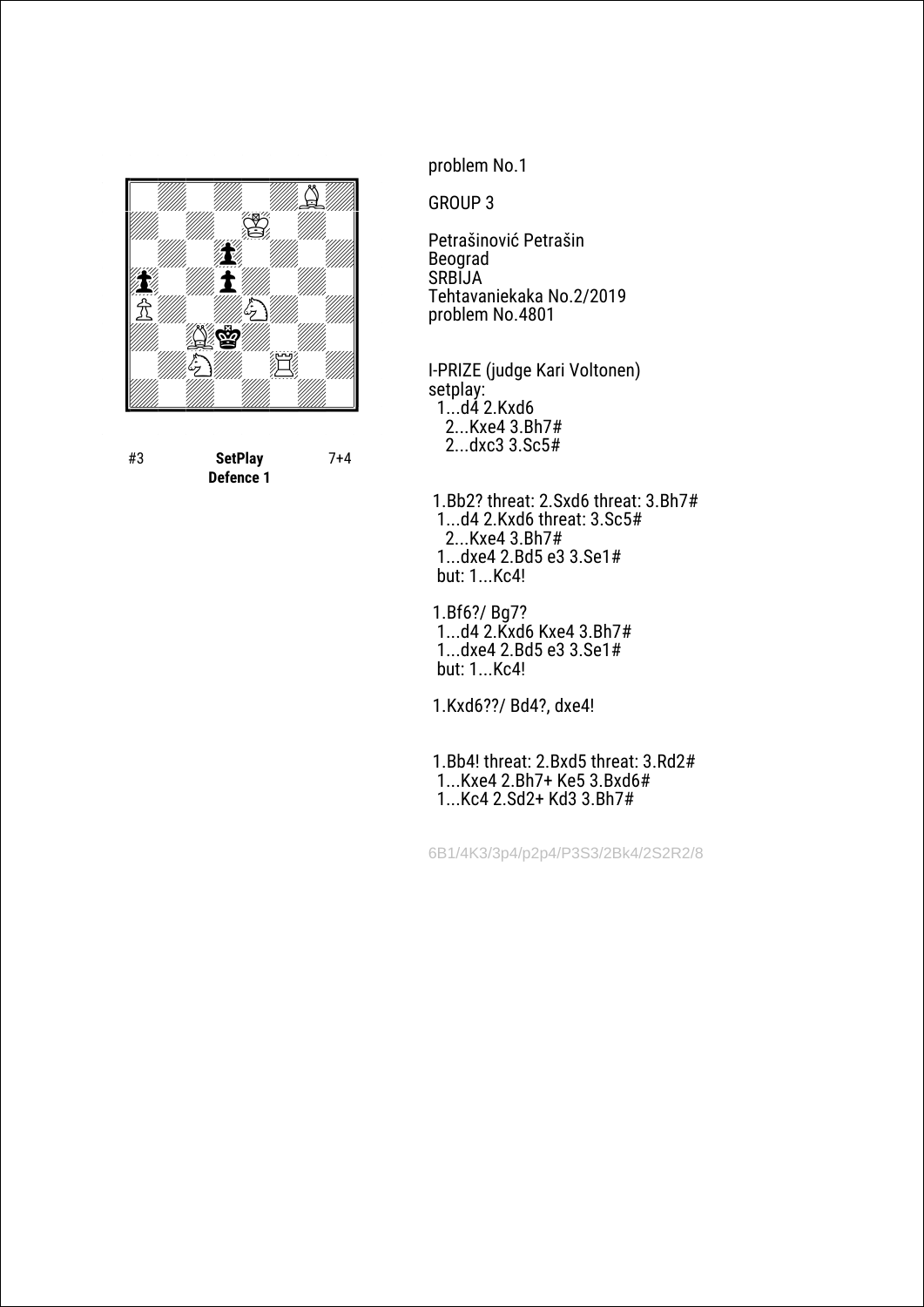

#3 **SetPlay Defence 1** 7+4 problem No.1

GROUP 3

Petrašinović Petrašin Beograd SRBIJA Tehtavaniekaka No.2/2019 problem No.4801

I-PRIZE (judge Kari Voltonen) setplay: 1...d4 2.Kxd6 2...Kxe4 3.Bh7# 2...dxc3 3.Sc5#

 1.Bb2? threat: 2.Sxd6 threat: 3.Bh7# 1...d4 2.Kxd6 threat: 3.Sc5# 2...Kxe4 3.Bh7# 1...dxe4 2.Bd5 e3 3.Se1# but: 1...Kc4!

 1.Bf6?/ Bg7? 1...d4 2.Kxd6 Kxe4 3.Bh7# 1...dxe4 2.Bd5 e3 3.Se1# but: 1...Kc4!

1.Kxd6??/ Bd4?, dxe4!

 1.Bb4! threat: 2.Bxd5 threat: 3.Rd2# 1...Kxe4 2.Bh7+ Ke5 3.Bxd6# 1...Kc4 2.Sd2+ Kd3 3.Bh7#

6B1/4K3/3p4/p2p4/P3S3/2Bk4/2S2R2/8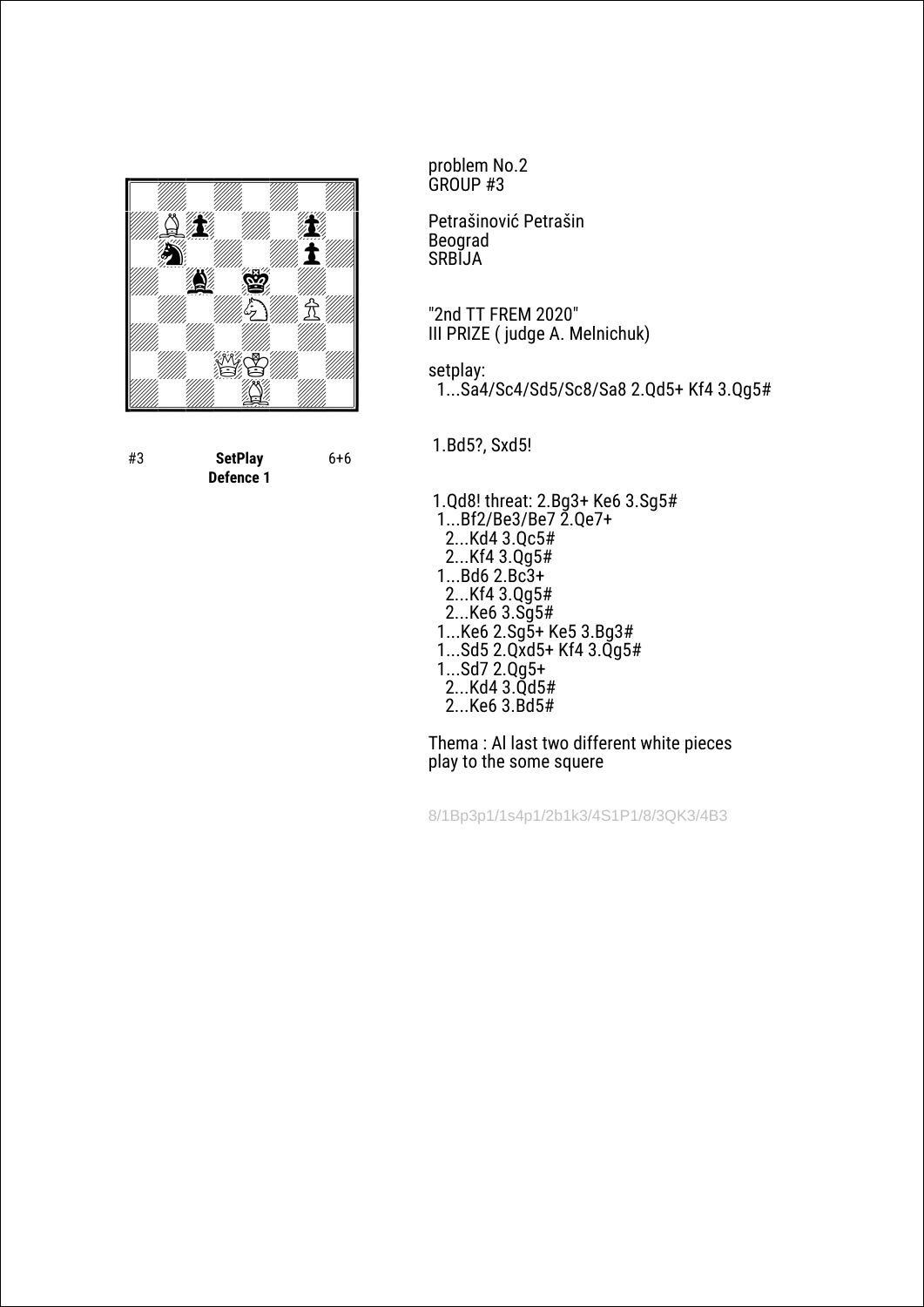

#3 **SetPlay Defence 1** 6+6 problem No.2 GROUP #3

Petrašinović Petrašin Beograd SRBIJA

"2nd TT FREM 2020" III PRIZE ( judge A. Melnichuk)

setplay: 1...Sa4/Sc4/Sd5/Sc8/Sa8 2.Qd5+ Kf4 3.Qg5#

1.Bd5?, Sxd5!

 1.Qd8! threat: 2.Bg3+ Ke6 3.Sg5# 1...Bf2/Be3/Be7 2.Qe7+ 2...Kd4 3.Qc5# 2...Kf4 3.Qg5# 1...Bd6 2.Bc3+ 2...Kf4 3.Qg5# 2...Ke6 3.Sg5# 1...Ke6 2.Sg5+ Ke5 3.Bg3# 1...Sd5 2.Qxd5+ Kf4 3.Qg5# 1...Sd7 2.Qg5+ 2...Kd4 3.Qd5# 2...Ke6 3.Bd5#

Thema : Al last two different white pieces play to the some squere

8/1Bp3p1/1s4p1/2b1k3/4S1P1/8/3QK3/4B3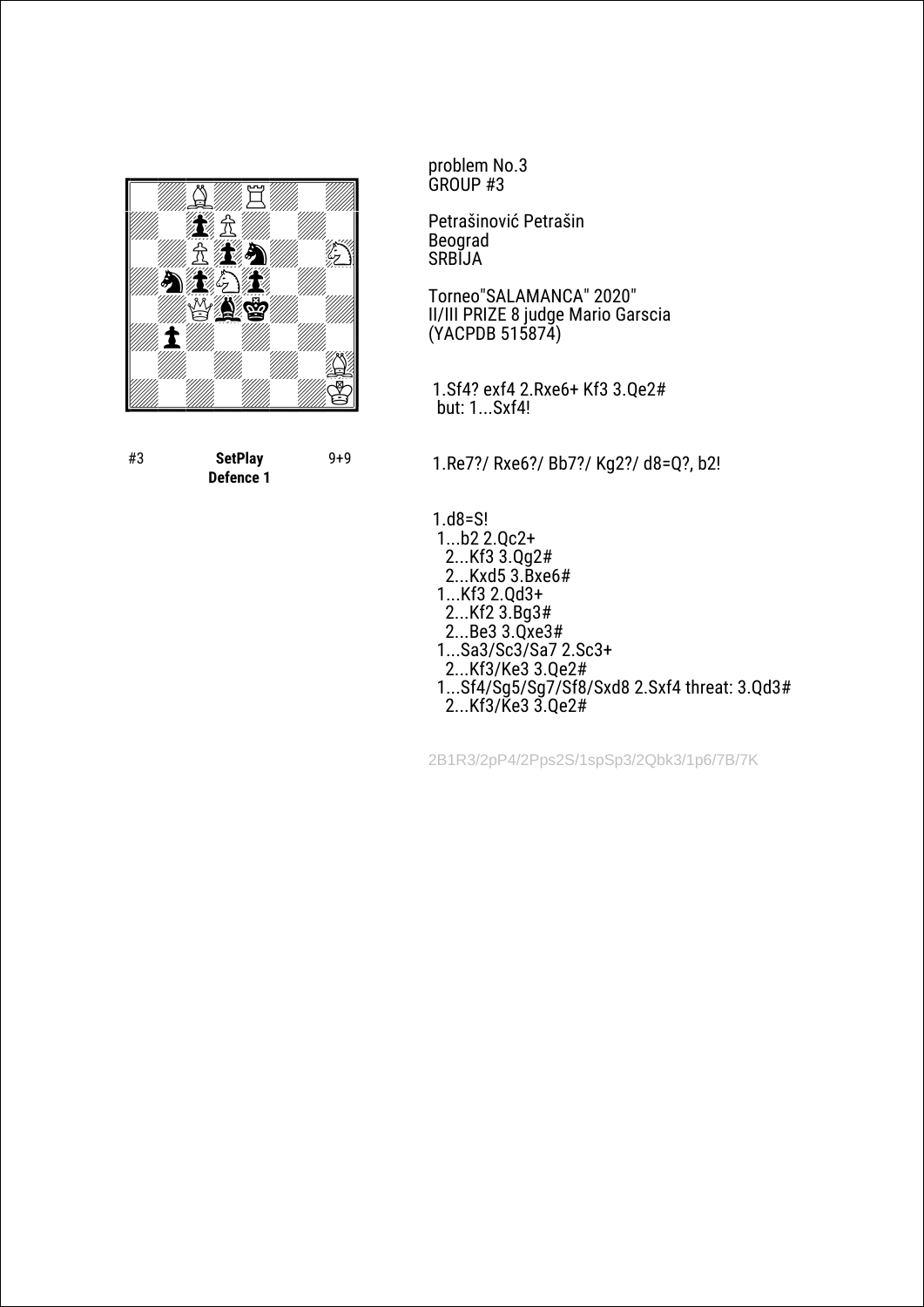

#3 **SetPlay Defence 1** 9+9 problem No.3 GROUP #3

Petrašinović Petrašin Beograd SRBIJA

Torneo"SALAMANCA" 2020" II/III PRIZE 8 judge Mario Garscia (YACPDB 515874)

 1.Sf4? exf4 2.Rxe6+ Kf3 3.Qe2# but: 1...Sxf4!

1.Re7?/ Rxe6?/ Bb7?/ Kg2?/ d8=Q?, b2!

 1.d8=S! 1...b2 2.Qc2+ 2...Kf3 3.Qg2# 2...Kxd5 3.Bxe6# 1...Kf3 2.Qd3+ 2...Kf2 3.Bg3# 2...Be3 3.Qxe3# 1...Sa3/Sc3/Sa7 2.Sc3+ 2...Kf3/Ke3 3.Qe2# 1...Sf4/Sg5/Sg7/Sf8/Sxd8 2.Sxf4 threat: 3.Qd3# 2...Kf3/Ke3 3.Qe2#

2B1R3/2pP4/2Pps2S/1spSp3/2Qbk3/1p6/7B/7K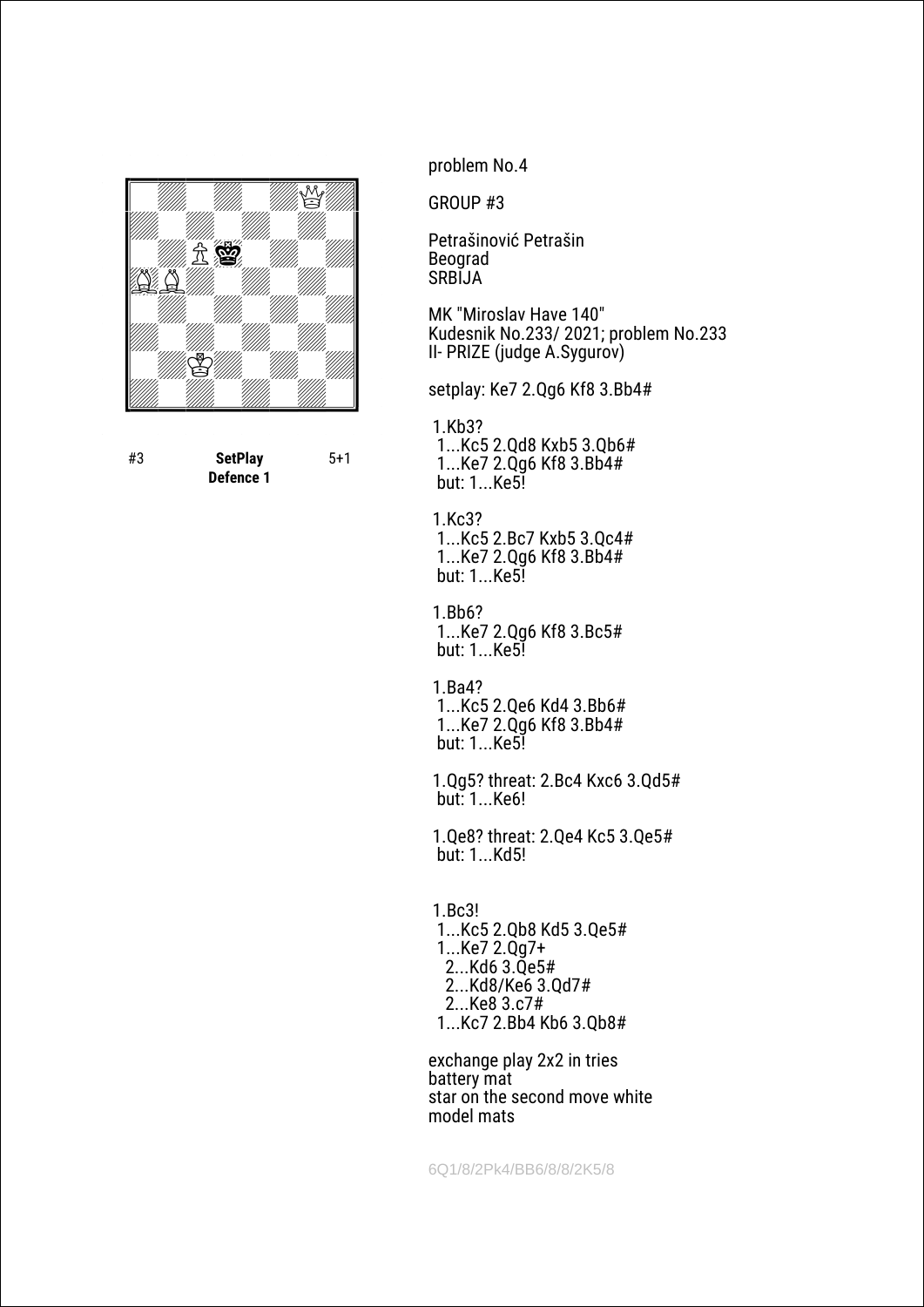

#3 **SetPlay Defence 1** 5+1 problem No.4

GROUP #3

Petrašinović Petrašin Beograd SRBIJA

MK "Miroslav Have 140" Kudesnik No.233/ 2021; problem No.233 II- PRIZE (judge A.Sygurov)

setplay: Ke7 2.Qg6 Kf8 3.Bb4#

 1.Kb3? 1...Kc5 2.Qd8 Kxb5 3.Qb6# 1...Ke7 2.Qg6 Kf8 3.Bb4# but: 1...Ke5!

 1.Kc3? 1...Kc5 2.Bc7 Kxb5 3.Qc4# 1...Ke7 2.Qg6 Kf8 3.Bb4# but: 1...Ke5!

 1.Bb6? 1...Ke7 2.Qg6 Kf8 3.Bc5# but: 1...Ke5!

 1.Ba4? 1...Kc5 2.Qe6 Kd4 3.Bb6# 1...Ke7 2.Qg6 Kf8 3.Bb4# but: 1...Ke5!

 1.Qg5? threat: 2.Bc4 Kxc6 3.Qd5# but: 1...Ke6!

 1.Qe8? threat: 2.Qe4 Kc5 3.Qe5# but: 1...Kd5!

 1.Bc3! 1...Kc5 2.Qb8 Kd5 3.Qe5# 1...Ke7 2.Qg7+ 2...Kd6 3.Qe5# 2...Kd8/Ke6 3.Qd7# 2...Ke8 3.c7# 1...Kc7 2.Bb4 Kb6 3.Qb8#

exchange play 2x2 in tries battery mat star on the second move white model mats

6Q1/8/2Pk4/BB6/8/8/2K5/8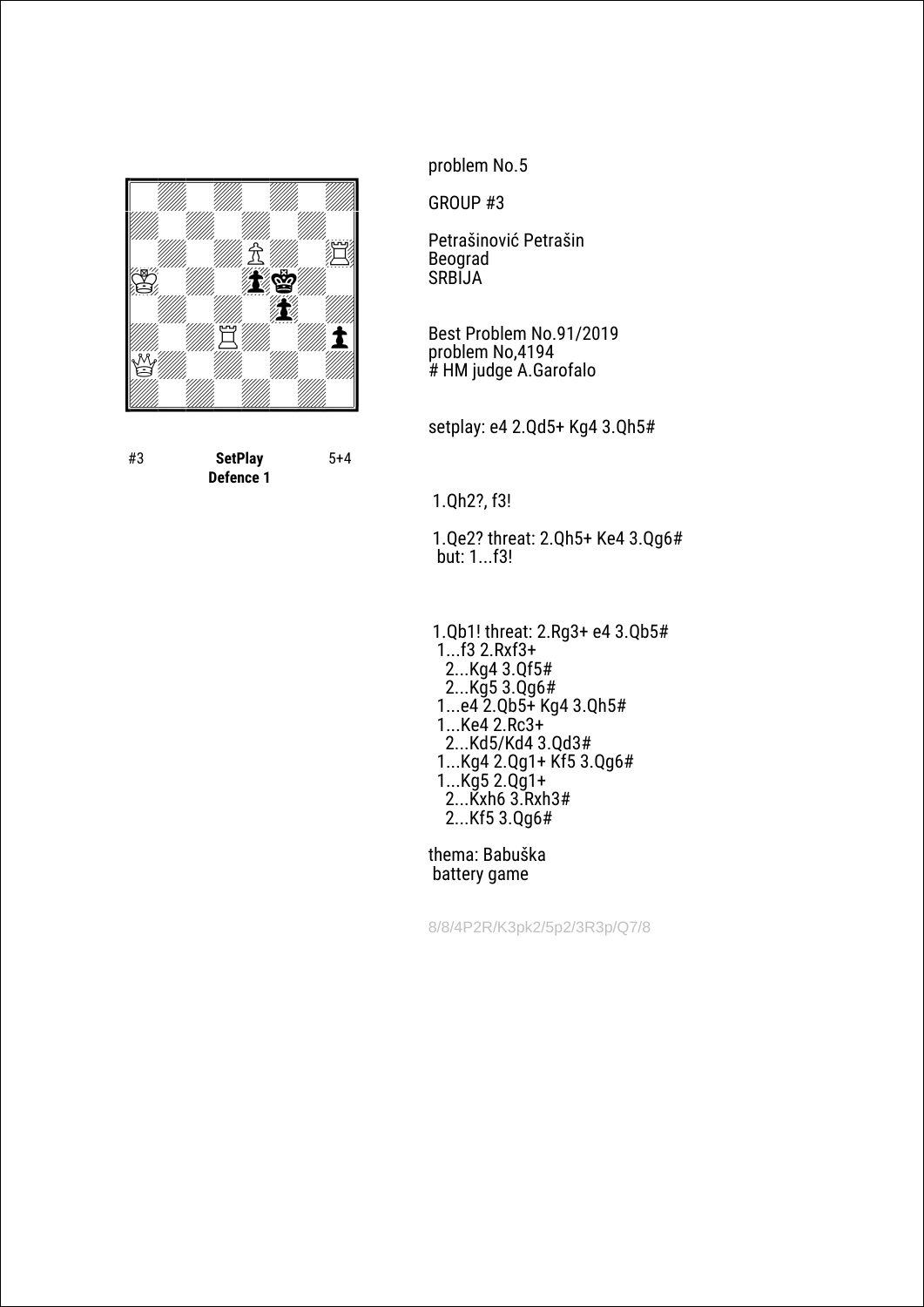

#3 **SetPlay Defence 1** 5+4 problem No.5

GROUP #3

Petrašinović Petrašin Beograd SRBIJA

Best Problem No.91/2019 problem No,4194 # HM judge A.Garofalo

setplay: e4 2.Qd5+ Kg4 3.Qh5#

1.Qh2?, f3!

 1.Qe2? threat: 2.Qh5+ Ke4 3.Qg6# but: 1...f3!

 1.Qb1! threat: 2.Rg3+ e4 3.Qb5# 1...f3 2.Rxf3+ 2...Kg4 3.Qf5# 2...Kg5 3.Qg6# 1...e4 2.Qb5+ Kg4 3.Qh5# 1...Ke4 2.Rc3+ 2...Kd5/Kd4 3.Qd3# 1...Kg4 2.Qg1+ Kf5 3.Qg6# 1...Kg5 2.Qg1+ 2...Kxh6 3.Rxh3# 2...Kf5 3.Qg6#

thema: Babuška battery game

8/8/4P2R/K3pk2/5p2/3R3p/Q7/8